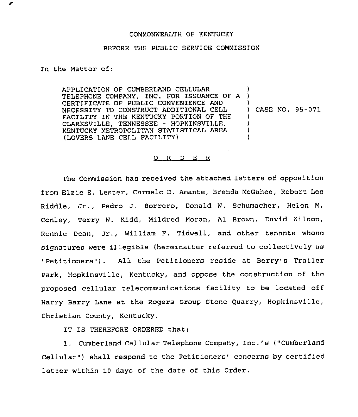## COMMONWEALTH OF KENTUCKY

## BEFORE THE PUBLIC SERVICE COMMISSION

In the Matter of:

APPLICATION OF CUMBERLAND CELLULAR APPLICATION OF COMBERLAND CELLOLAR ( CERTIFICATE OF PUBLIC CONVENIENCE AND NECESSITY TO CONSTRUCT ADDITIONAL CELL FACILITY IN THE KENTUCKY PORTION OF THE CLARKSVILLE, TENNESSEE - HOPKINSVILLE, KENTUCKY METROPOLITAN STATISTICAL AREA (LOVERS LANE CELL FACILITY) ) ) ) CASE NO, 95-071 ) ) ) )

## 0 <sup>R</sup> <sup>D</sup> E <sup>R</sup>

The Commission has received the attached letters of opposition from Elzie E. Laster, Carmelo D. Amante, Brenda McGahce, Robert Loc Riddle, Jr,, Pedro J. Borrero, Donald W. Schumacher, Helen M. Conley, Terry W. Kidd, Mildred Moran, Al Brown, David Wilson, Ronnie Dean, Jr., William F. Tidwell, and other tenants whoso signatures were illegible {hereinafter referred to collectivaly as "Petitioners"). All the Petitioners reside at Berry's Trailer Park, Hopkinsville, Kentucky, and oppose the construction of the proposed cellular telecommunications facility to be located off Harry Barry Lane at the Rogers Group Stone Quarry, Hopkinsvillc, Christian County, Kentucky.

IT IS THEREFORE ORDERED that:

1. Cumberland Cellular Telephone Company, Inc.'s ("Cumberland Cellular") shall respond to the Petitioners' concerns by certified letter within 10 days of the date of this Order.